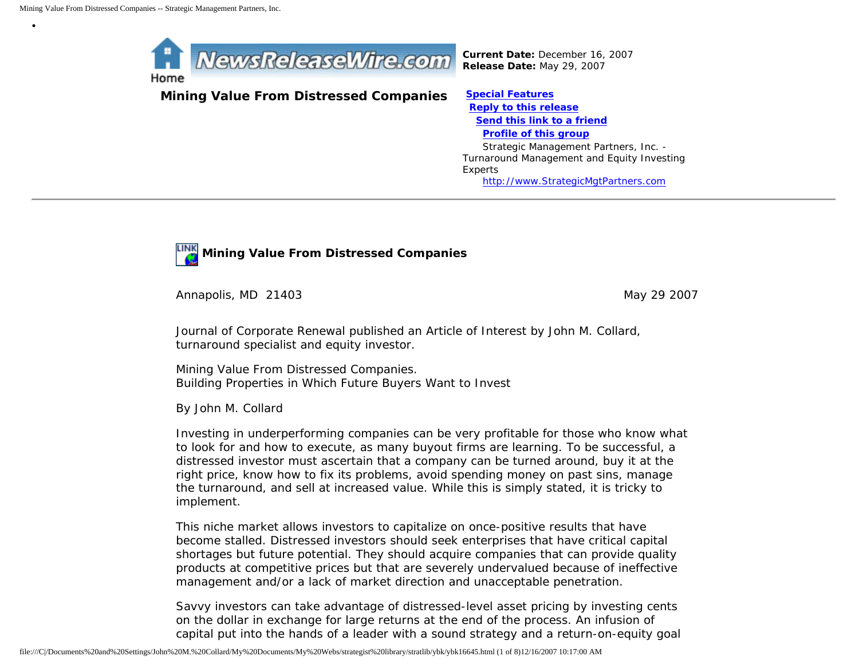•



*Current Date:* December 16, 2007 *Release Date:* May 29, 2007

**Mining Value From Distressed Companies [Special Features](javascript:openlittleme()**

 **[Reply to this release](file:///C|/Documents%20and%20Settings/John%20M.%20Collard/My%20Documents/My%20Webs/strategist%20library/stratlib/ybk/default.cfm?Action=ReplyRelease&Id=16645) [Send this link to a friend](file:///C|/Documents%20and%20Settings/John%20M.%20Collard/My%20Documents/My%20Webs/strategist%20library/stratlib/ybk/default.cfm?Action=SendLink&SendId=16645) [Profile of this group](file:///C|/Documents%20and%20Settings/John%20M.%20Collard/My%20Documents/My%20Webs/strategist%20library/stratlib/ybk/default.cfm?Action=Profile&ProfileId=623)** Strategic Management Partners, Inc. - Turnaround Management and Equity Investing Experts [http://www.StrategicMgtPartners.com](http://www.strategicmgtpartners.com/)



Annapolis, MD 21403 May 29 2007

Journal of Corporate Renewal published an Article of Interest by John M. Collard, turnaround specialist and equity investor.

Mining Value From Distressed Companies. Building Properties in Which Future Buyers Want to Invest

By John M. Collard

Investing in underperforming companies can be very profitable for those who know what to look for and how to execute, as many buyout firms are learning. To be successful, a distressed investor must ascertain that a company can be turned around, buy it at the right price, know how to fix its problems, avoid spending money on past sins, manage the turnaround, and sell at increased value. While this is simply stated, it is tricky to implement.

This niche market allows investors to capitalize on once-positive results that have become stalled. Distressed investors should seek enterprises that have critical capital shortages but future potential. They should acquire companies that can provide quality products at competitive prices but that are severely undervalued because of ineffective management and/or a lack of market direction and unacceptable penetration.

Savvy investors can take advantage of distressed-level asset pricing by investing cents on the dollar in exchange for large returns at the end of the process. An infusion of capital put into the hands of a leader with a sound strategy and a return-on-equity goal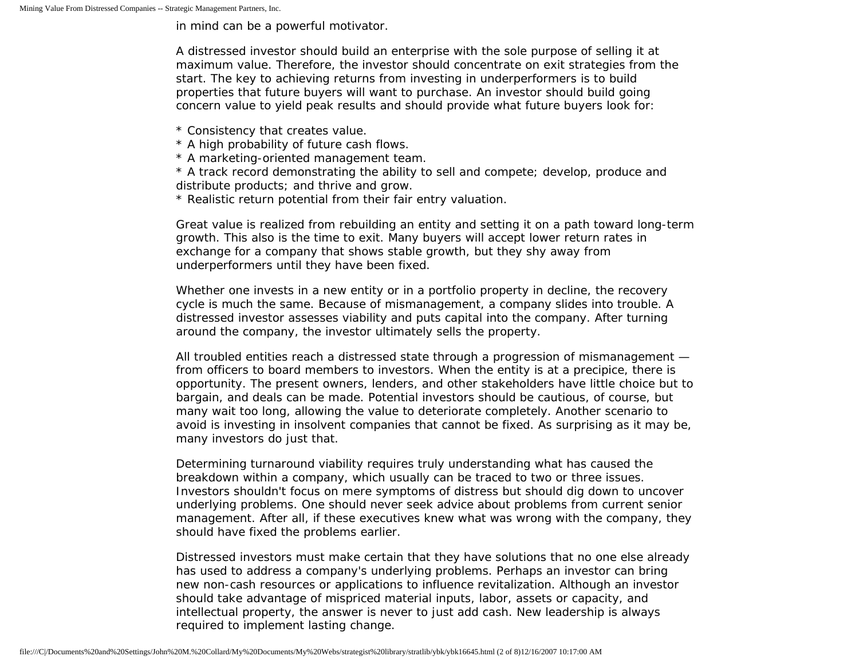in mind can be a powerful motivator.

A distressed investor should build an enterprise with the sole purpose of selling it at maximum value. Therefore, the investor should concentrate on exit strategies from the start. The key to achieving returns from investing in underperformers is to build properties that future buyers will want to purchase. An investor should build going concern value to yield peak results and should provide what future buyers look for:

- \* Consistency that creates value.
- \* A high probability of future cash flows.
- \* A marketing-oriented management team.
- \* A track record demonstrating the ability to sell and compete; develop, produce and distribute products; and thrive and grow.
- \* Realistic return potential from their fair entry valuation.

Great value is realized from rebuilding an entity and setting it on a path toward long-term growth. This also is the time to exit. Many buyers will accept lower return rates in exchange for a company that shows stable growth, but they shy away from underperformers until they have been fixed.

Whether one invests in a new entity or in a portfolio property in decline, the recovery cycle is much the same. Because of mismanagement, a company slides into trouble. A distressed investor assesses viability and puts capital into the company. After turning around the company, the investor ultimately sells the property.

All troubled entities reach a distressed state through a progression of mismanagement from officers to board members to investors. When the entity is at a precipice, there is opportunity. The present owners, lenders, and other stakeholders have little choice but to bargain, and deals can be made. Potential investors should be cautious, of course, but many wait too long, allowing the value to deteriorate completely. Another scenario to avoid is investing in insolvent companies that cannot be fixed. As surprising as it may be, many investors do just that.

Determining turnaround viability requires truly understanding what has caused the breakdown within a company, which usually can be traced to two or three issues. Investors shouldn't focus on mere symptoms of distress but should dig down to uncover underlying problems. One should never seek advice about problems from current senior management. After all, if these executives knew what was wrong with the company, they should have fixed the problems earlier.

Distressed investors must make certain that they have solutions that no one else already has used to address a company's underlying problems. Perhaps an investor can bring new non-cash resources or applications to influence revitalization. Although an investor should take advantage of mispriced material inputs, labor, assets or capacity, and intellectual property, the answer is never to just add cash. New leadership is always required to implement lasting change.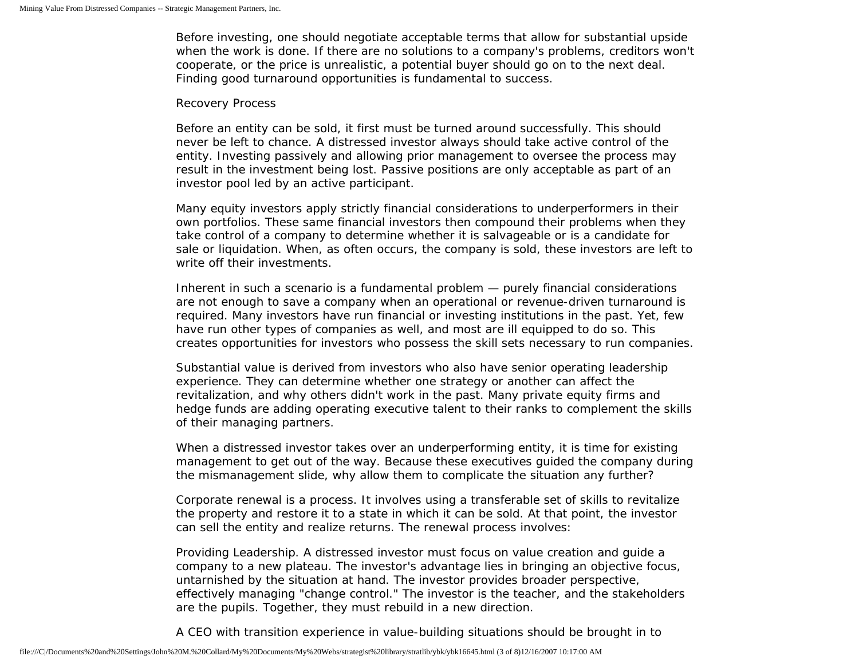Before investing, one should negotiate acceptable terms that allow for substantial upside when the work is done. If there are no solutions to a company's problems, creditors won't cooperate, or the price is unrealistic, a potential buyer should go on to the next deal. Finding good turnaround opportunities is fundamental to success.

## Recovery Process

Before an entity can be sold, it first must be turned around successfully. This should never be left to chance. A distressed investor always should take active control of the entity. Investing passively and allowing prior management to oversee the process may result in the investment being lost. Passive positions are only acceptable as part of an investor pool led by an active participant.

Many equity investors apply strictly financial considerations to underperformers in their own portfolios. These same financial investors then compound their problems when they take control of a company to determine whether it is salvageable or is a candidate for sale or liquidation. When, as often occurs, the company is sold, these investors are left to write off their investments.

Inherent in such a scenario is a fundamental problem — purely financial considerations are not enough to save a company when an operational or revenue-driven turnaround is required. Many investors have run financial or investing institutions in the past. Yet, few have run other types of companies as well, and most are ill equipped to do so. This creates opportunities for investors who possess the skill sets necessary to run companies.

Substantial value is derived from investors who also have senior operating leadership experience. They can determine whether one strategy or another can affect the revitalization, and why others didn't work in the past. Many private equity firms and hedge funds are adding operating executive talent to their ranks to complement the skills of their managing partners.

When a distressed investor takes over an underperforming entity, it is time for existing management to get out of the way. Because these executives guided the company during the mismanagement slide, why allow them to complicate the situation any further?

Corporate renewal is a process. It involves using a transferable set of skills to revitalize the property and restore it to a state in which it can be sold. At that point, the investor can sell the entity and realize returns. The renewal process involves:

Providing Leadership. A distressed investor must focus on value creation and guide a company to a new plateau. The investor's advantage lies in bringing an objective focus, untarnished by the situation at hand. The investor provides broader perspective, effectively managing "change control." The investor is the teacher, and the stakeholders are the pupils. Together, they must rebuild in a new direction.

A CEO with transition experience in value-building situations should be brought in to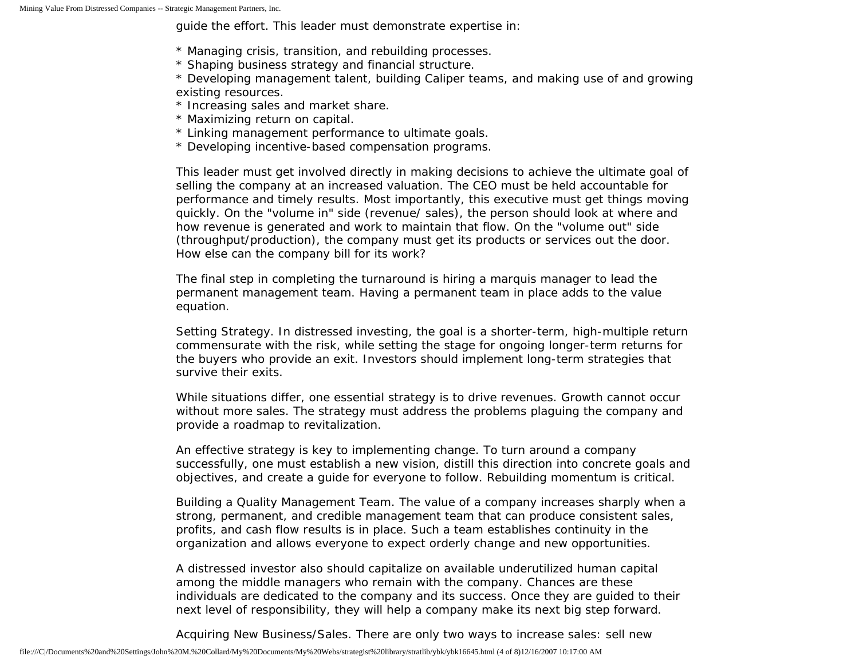Mining Value From Distressed Companies -- Strategic Management Partners, Inc.

guide the effort. This leader must demonstrate expertise in:

- \* Managing crisis, transition, and rebuilding processes.
- \* Shaping business strategy and financial structure.
- \* Developing management talent, building Caliper teams, and making use of and growing existing resources.
- \* Increasing sales and market share.
- \* Maximizing return on capital.
- \* Linking management performance to ultimate goals.
- \* Developing incentive-based compensation programs.

This leader must get involved directly in making decisions to achieve the ultimate goal of selling the company at an increased valuation. The CEO must be held accountable for performance and timely results. Most importantly, this executive must get things moving quickly. On the "volume in" side (revenue/ sales), the person should look at where and how revenue is generated and work to maintain that flow. On the "volume out" side (throughput/production), the company must get its products or services out the door. How else can the company bill for its work?

The final step in completing the turnaround is hiring a marquis manager to lead the permanent management team. Having a permanent team in place adds to the value equation.

Setting Strategy. In distressed investing, the goal is a shorter-term, high-multiple return commensurate with the risk, while setting the stage for ongoing longer-term returns for the buyers who provide an exit. Investors should implement long-term strategies that survive their exits.

While situations differ, one essential strategy is to drive revenues. Growth cannot occur without more sales. The strategy must address the problems plaguing the company and provide a roadmap to revitalization.

An effective strategy is key to implementing change. To turn around a company successfully, one must establish a new vision, distill this direction into concrete goals and objectives, and create a guide for everyone to follow. Rebuilding momentum is critical.

Building a Quality Management Team. The value of a company increases sharply when a strong, permanent, and credible management team that can produce consistent sales, profits, and cash flow results is in place. Such a team establishes continuity in the organization and allows everyone to expect orderly change and new opportunities.

A distressed investor also should capitalize on available underutilized human capital among the middle managers who remain with the company. Chances are these individuals are dedicated to the company and its success. Once they are guided to their next level of responsibility, they will help a company make its next big step forward.

Acquiring New Business/Sales. There are only two ways to increase sales: sell new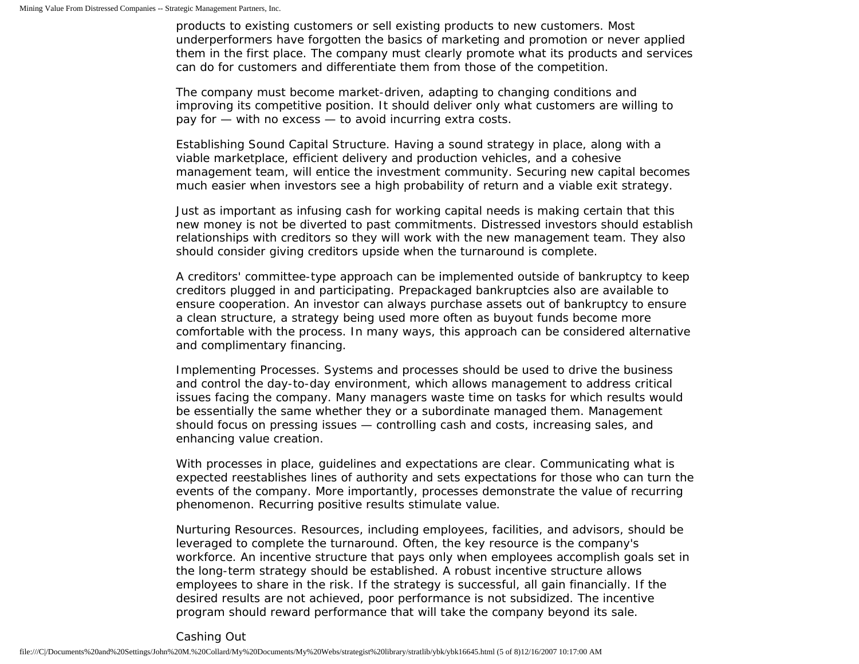products to existing customers or sell existing products to new customers. Most underperformers have forgotten the basics of marketing and promotion or never applied them in the first place. The company must clearly promote what its products and services can do for customers and differentiate them from those of the competition.

The company must become market-driven, adapting to changing conditions and improving its competitive position. It should deliver only what customers are willing to pay for — with no excess — to avoid incurring extra costs.

Establishing Sound Capital Structure. Having a sound strategy in place, along with a viable marketplace, efficient delivery and production vehicles, and a cohesive management team, will entice the investment community. Securing new capital becomes much easier when investors see a high probability of return and a viable exit strategy.

Just as important as infusing cash for working capital needs is making certain that this new money is not be diverted to past commitments. Distressed investors should establish relationships with creditors so they will work with the new management team. They also should consider giving creditors upside when the turnaround is complete.

A creditors' committee-type approach can be implemented outside of bankruptcy to keep creditors plugged in and participating. Prepackaged bankruptcies also are available to ensure cooperation. An investor can always purchase assets out of bankruptcy to ensure a clean structure, a strategy being used more often as buyout funds become more comfortable with the process. In many ways, this approach can be considered alternative and complimentary financing.

Implementing Processes. Systems and processes should be used to drive the business and control the day-to-day environment, which allows management to address critical issues facing the company. Many managers waste time on tasks for which results would be essentially the same whether they or a subordinate managed them. Management should focus on pressing issues — controlling cash and costs, increasing sales, and enhancing value creation.

With processes in place, guidelines and expectations are clear. Communicating what is expected reestablishes lines of authority and sets expectations for those who can turn the events of the company. More importantly, processes demonstrate the value of recurring phenomenon. Recurring positive results stimulate value.

Nurturing Resources. Resources, including employees, facilities, and advisors, should be leveraged to complete the turnaround. Often, the key resource is the company's workforce. An incentive structure that pays only when employees accomplish goals set in the long-term strategy should be established. A robust incentive structure allows employees to share in the risk. If the strategy is successful, all gain financially. If the desired results are not achieved, poor performance is not subsidized. The incentive program should reward performance that will take the company beyond its sale.

## Cashing Out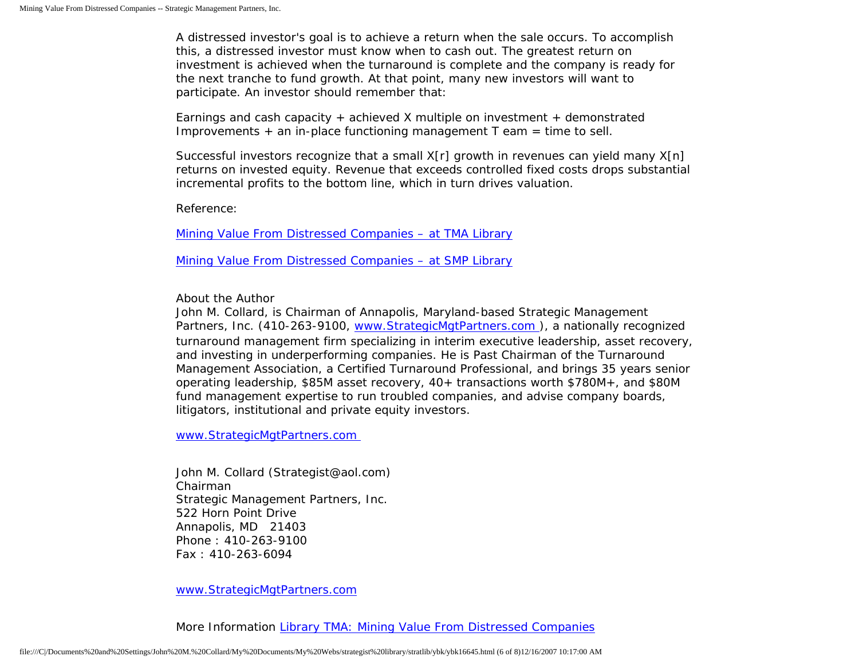A distressed investor's goal is to achieve a return when the sale occurs. To accomplish this, a distressed investor must know when to cash out. The greatest return on investment is achieved when the turnaround is complete and the company is ready for the next tranche to fund growth. At that point, many new investors will want to participate. An investor should remember that:

Earnings and cash capacity + achieved X multiple on investment + demonstrated Improvements  $+$  an in-place functioning management T eam  $=$  time to sell.

Successful investors recognize that a small X[r] growth in revenues can yield many X[n] returns on invested equity. Revenue that exceeds controlled fixed costs drops substantial incremental profits to the bottom line, which in turn drives valuation.

Reference:

[Mining Value From Distressed Companies – at TMA Library](http://www.turnaround.org/print/articles.asp?objectID=6732)

[Mining Value From Distressed Companies – at SMP Library](http://members.aol.com/stratlib3/jcrmining.html)

About the Author

John M. Collard, is Chairman of Annapolis, Maryland-based Strategic Management Partners, Inc. (410-263-9100, [www.StrategicMgtPartners.com](http://www.strategicmgtpartners.com/) ), a nationally recognized turnaround management firm specializing in interim executive leadership, asset recovery, and investing in underperforming companies. He is Past Chairman of the Turnaround Management Association, a Certified Turnaround Professional, and brings 35 years senior operating leadership, \$85M asset recovery, 40+ transactions worth \$780M+, and \$80M fund management expertise to run troubled companies, and advise company boards, litigators, institutional and private equity investors.

[www.StrategicMgtPartners.com](http://www.strategicmgtpartners.com/)

John M. Collard (Strategist@aol.com) Chairman Strategic Management Partners, Inc. 522 Horn Point Drive Annapolis, MD 21403 Phone : 410-263-9100 Fax : 410-263-6094

[www.StrategicMgtPartners.com](http://www.strategicmgtpartners.com/)

More Information [Library TMA: Mining Value From Distressed Companies](http://www.turnaround.org/print/articles.asp?objectID=6732)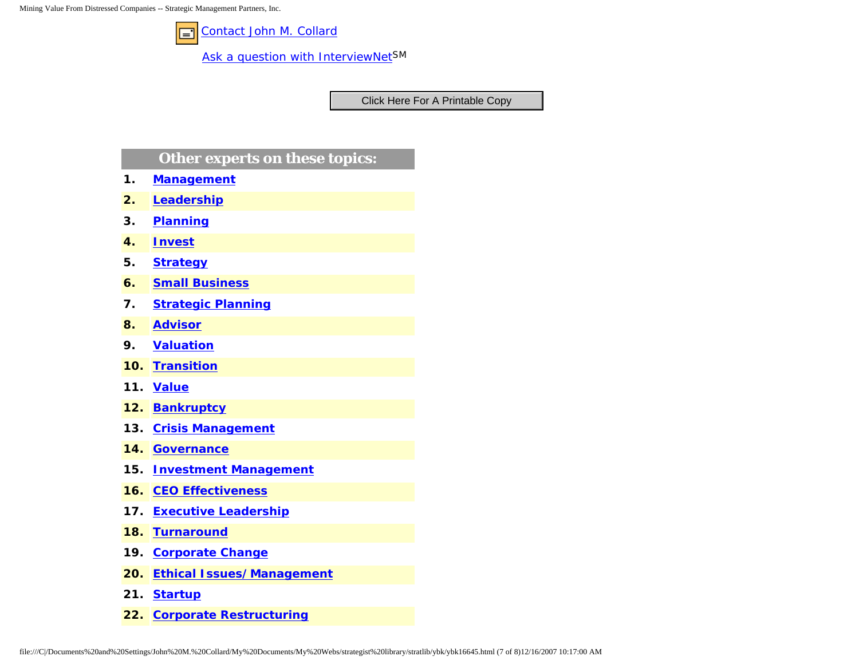Mining Value From Distressed Companies -- Strategic Management Partners, Inc.



[Contact John M. Collard](http://www.expertclick.com/expertClick/contact/default.cfm?Action=ContactExpert&GroupID=1016)

[Ask a question with InterviewNetS](http://www.expertclick.com/expertClick/contact/default.cfm?GroupID=1016)M

## **Other experts on these topics:**

- **1. [Management](http://www.expertclick.com/search/default.cfm?SearchCriteria=Management)**
- **2. [Leadership](http://www.expertclick.com/search/default.cfm?SearchCriteria=Leadership)**
- **3. [Planning](http://www.expertclick.com/search/default.cfm?SearchCriteria=Planning)**
- **4. [Invest](http://www.expertclick.com/search/default.cfm?SearchCriteria=Invest)**
- **5. [Strategy](http://www.expertclick.com/search/default.cfm?SearchCriteria=Strategy)**
- **6. [Small Business](http://www.expertclick.com/search/default.cfm?SearchCriteria=Small Business)**
- **7. [Strategic Planning](http://www.expertclick.com/search/default.cfm?SearchCriteria=Strategic Planning)**
- **8. [Advisor](http://www.expertclick.com/search/default.cfm?SearchCriteria=Advisor)**
- **9. [Valuation](http://www.expertclick.com/search/default.cfm?SearchCriteria=Valuation)**
- **10. [Transition](http://www.expertclick.com/search/default.cfm?SearchCriteria=Transition)**
- **11. [Value](http://www.expertclick.com/search/default.cfm?SearchCriteria=Value)**
- **12. [Bankruptcy](http://www.expertclick.com/search/default.cfm?SearchCriteria=Bankruptcy)**
- **13. [Crisis Management](http://www.expertclick.com/search/default.cfm?SearchCriteria=Crisis Management)**
- **14. [Governance](http://www.expertclick.com/search/default.cfm?SearchCriteria=Governance)**
- **15. [Investment Management](http://www.expertclick.com/search/default.cfm?SearchCriteria=Investment Management)**
- **16. [CEO Effectiveness](http://www.expertclick.com/search/default.cfm?SearchCriteria=CEO Effectiveness)**
- **17. [Executive Leadership](http://www.expertclick.com/search/default.cfm?SearchCriteria=Executive Leadership)**
- **18. [Turnaround](http://www.expertclick.com/search/default.cfm?SearchCriteria=Turnaround)**
- **19. [Corporate Change](http://www.expertclick.com/search/default.cfm?SearchCriteria=Corporate Change)**
- **20. [Ethical Issues/Management](http://www.expertclick.com/search/default.cfm?SearchCriteria=Ethical Issues/Management)**
- **21. [Startup](http://www.expertclick.com/search/default.cfm?SearchCriteria=Startup)**
- **22. [Corporate Restructuring](http://www.expertclick.com/search/default.cfm?SearchCriteria=Corporate Restructuring)**